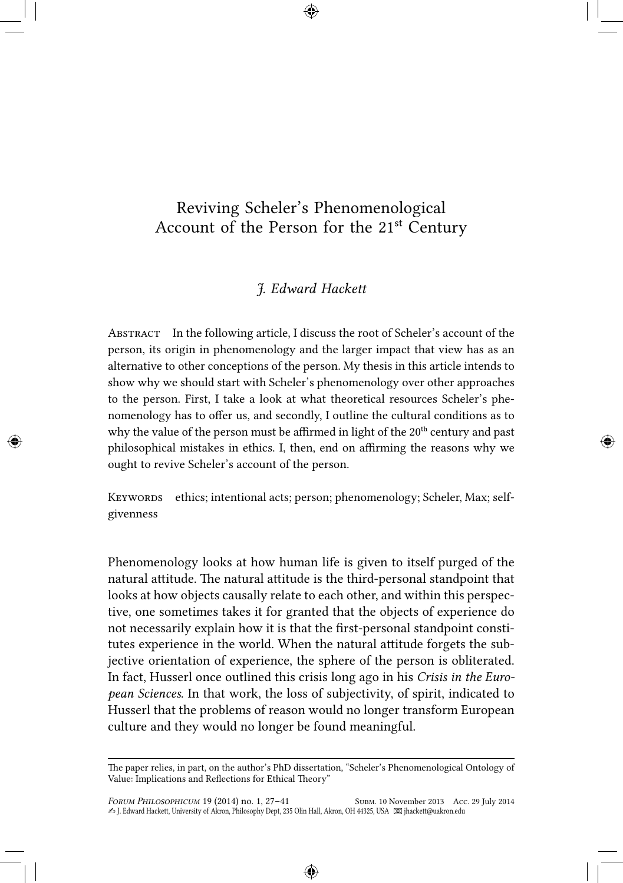## Reviving Scheler's Phenomenological Account of the Person for the  $21<sup>st</sup>$  Century

## *J. Edward Hackett*

Abstract In the following article, I discuss the root of Scheler's account of the person, its origin in phenomenology and the larger impact that view has as an alternative to other conceptions of the person. My thesis in this article intends to show why we should start with Scheler's phenomenology over other approaches to the person. First, I take a look at what theoretical resources Scheler's phenomenology has to offer us, and secondly, I outline the cultural conditions as to why the value of the person must be affirmed in light of the 20<sup>th</sup> century and past philosophical mistakes in ethics. I, then, end on affirming the reasons why we ought to revive Scheler's account of the person.

KEYWORDS ethics; intentional acts; person; phenomenology; Scheler, Max; selfgivenness

Phenomenology looks at how human life is given to itself purged of the natural attitude. The natural attitude is the third-personal standpoint that looks at how objects causally relate to each other, and within this perspective, one sometimes takes it for granted that the objects of experience do not necessarily explain how it is that the first-personal standpoint constitutes experience in the world. When the natural attitude forgets the subjective orientation of experience, the sphere of the person is obliterated. In fact, Husserl once outlined this crisis long ago in his *Crisis in the European Sciences*. In that work, the loss of subjectivity, of spirit, indicated to Husserl that the problems of reason would no longer transform European culture and they would no longer be found meaningful.

The paper relies, in part, on the author's PhD dissertation, "Scheler's Phenomenological Ontology of Value: Implications and Reflections for Ethical Theory"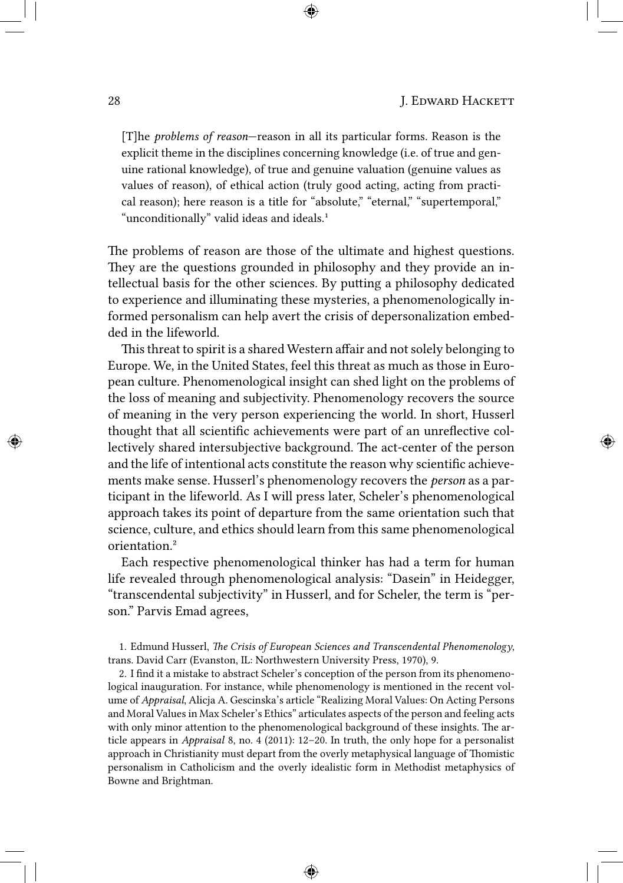[T]he *problems of reason*—reason in all its particular forms. Reason is the explicit theme in the disciplines concerning knowledge (i.e. of true and genuine rational knowledge), of true and genuine valuation (genuine values as values of reason), of ethical action (truly good acting, acting from practical reason); here reason is a title for "absolute," "eternal," "supertemporal," "unconditionally" valid ideas and ideals.<sup>1</sup>

The problems of reason are those of the ultimate and highest questions. They are the questions grounded in philosophy and they provide an intellectual basis for the other sciences. By putting a philosophy dedicated to experience and illuminating these mysteries, a phenomenologically informed personalism can help avert the crisis of depersonalization embedded in the lifeworld.

This threat to spirit is a shared Western affair and not solely belonging to Europe. We, in the United States, feel this threat as much as those in European culture. Phenomenological insight can shed light on the problems of the loss of meaning and subjectivity. Phenomenology recovers the source of meaning in the very person experiencing the world. In short, Husserl thought that all scientific achievements were part of an unreflective collectively shared intersubjective background. The act-center of the person and the life of intentional acts constitute the reason why scientific achievements make sense. Husserl's phenomenology recovers the *person* as a participant in the lifeworld. As I will press later, Scheler's phenomenological approach takes its point of departure from the same orientation such that science, culture, and ethics should learn from this same phenomenological orientation.²

Each respective phenomenological thinker has had a term for human life revealed through phenomenological analysis: "Dasein" in Heidegger, "transcendental subjectivity" in Husserl, and for Scheler, the term is "person." Parvis Emad agrees,

1. Edmund Husserl, *The Crisis of European Sciences and Transcendental Phenomenology*, trans. David Carr (Evanston, IL: Northwestern University Press, 1970), 9.

2. I find it a mistake to abstract Scheler's conception of the person from its phenomenological inauguration. For instance, while phenomenology is mentioned in the recent volume of *Appraisal*, Alicja A. Gescinska's article "Realizing Moral Values: On Acting Persons and Moral Values in Max Scheler's Ethics" articulates aspects of the person and feeling acts with only minor attention to the phenomenological background of these insights. The article appears in *Appraisal* 8, no. 4 (2011): 12–20. In truth, the only hope for a personalist approach in Christianity must depart from the overly metaphysical language of Thomistic personalism in Catholicism and the overly idealistic form in Methodist metaphysics of Bowne and Brightman.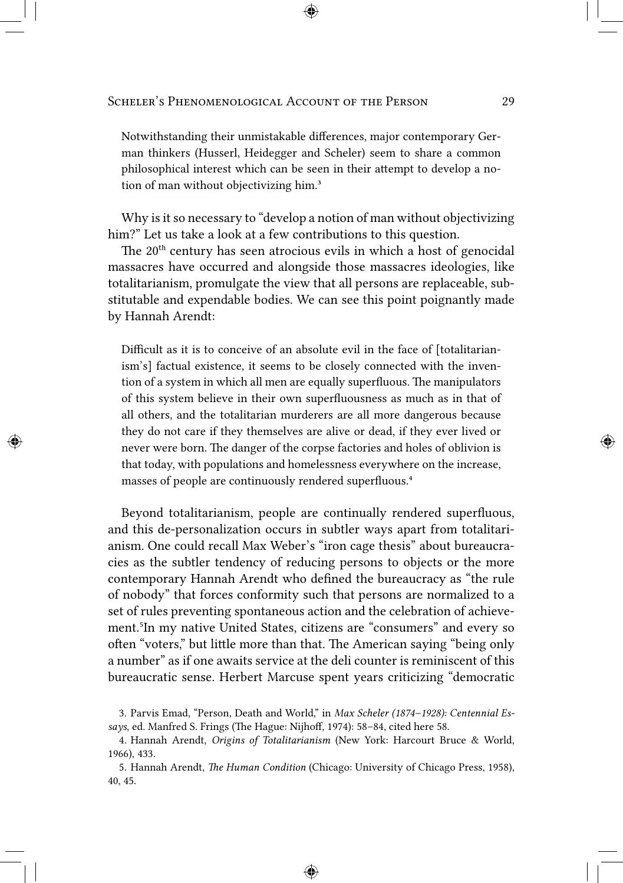Notwithstanding their unmistakable differences, major contemporary German thinkers (Husserl, Heidegger and Scheler) seem to share a common philosophical interest which can be seen in their attempt to develop a notion of man without objectivizing him.<sup>3</sup>

Why is it so necessary to "develop a notion of man without objectivizing him?" Let us take a look at a few contributions to this question.

The 20<sup>th</sup> century has seen atrocious evils in which a host of genocidal massacres have occurred and alongside those massacres ideologies, like totalitarianism, promulgate the view that all persons are replaceable, substitutable and expendable bodies. We can see this point poignantly made by Hannah Arendt:

Difficult as it is to conceive of an absolute evil in the face of [totalitarianism's] factual existence, it seems to be closely connected with the invention of a system in which all men are equally superfluous. The manipulators of this system believe in their own superfluousness as much as in that of all others, and the totalitarian murderers are all more dangerous because they do not care if they themselves are alive or dead, if they ever lived or never were born. The danger of the corpse factories and holes of oblivion is that today, with populations and homelessness everywhere on the increase, masses of people are continuously rendered superfluous.<sup>4</sup>

Beyond totalitarianism, people are continually rendered superfluous, and this de-personalization occurs in subtler ways apart from totalitarianism. One could recall Max Weber's "iron cage thesis" about bureaucracies as the subtler tendency of reducing persons to objects or the more contemporary Hannah Arendt who defined the bureaucracy as "the rule of nobody" that forces conformity such that persons are normalized to a set of rules preventing spontaneous action and the celebration of achievement.<sup>5</sup>In my native United States, citizens are "consumers" and every so often "voters," but little more than that. The American saying "being only a number" as if one awaits service at the deli counter is reminiscent of this bureaucratic sense. Herbert Marcuse spent years criticizing "democratic

<sup>3.</sup> Parvis Emad, "Person, Death and World," in *Max Scheler (1874–1928): Centennial Essays*, ed. Manfred S. Frings (The Hague: Nijhoff, 1974): 58–84, cited here 58.

<sup>4.</sup> Hannah Arendt, *Origins of Totalitarianism* (New York: Harcourt Bruce & World, 1966), 433.

<sup>5.</sup> Hannah Arendt, *The Human Condition* (Chicago: University of Chicago Press, 1958), 40, 45.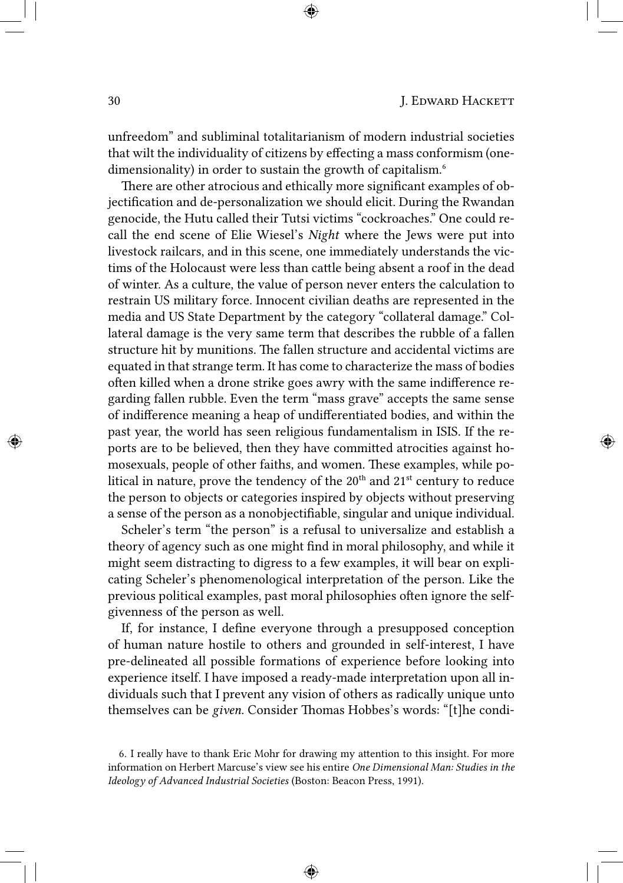unfreedom" and subliminal totalitarianism of modern industrial societies that wilt the individuality of citizens by effecting a mass conformism (onedimensionality) in order to sustain the growth of capitalism.<sup>6</sup>

There are other atrocious and ethically more significant examples of objectification and de-personalization we should elicit. During the Rwandan genocide, the Hutu called their Tutsi victims "cockroaches." One could recall the end scene of Elie Wiesel's *Night* where the Jews were put into livestock railcars, and in this scene, one immediately understands the victims of the Holocaust were less than cattle being absent a roof in the dead of winter. As a culture, the value of person never enters the calculation to restrain US military force. Innocent civilian deaths are represented in the media and US State Department by the category "collateral damage." Collateral damage is the very same term that describes the rubble of a fallen structure hit by munitions. The fallen structure and accidental victims are equated in that strange term. It has come to characterize the mass of bodies often killed when a drone strike goes awry with the same indifference regarding fallen rubble. Even the term "mass grave" accepts the same sense of indifference meaning a heap of undifferentiated bodies, and within the past year, the world has seen religious fundamentalism in ISIS. If the reports are to be believed, then they have committed atrocities against homosexuals, people of other faiths, and women. These examples, while political in nature, prove the tendency of the  $20<sup>th</sup>$  and  $21<sup>st</sup>$  century to reduce the person to objects or categories inspired by objects without preserving a sense of the person as a nonobjectifiable, singular and unique individual.

Scheler's term "the person" is a refusal to universalize and establish a theory of agency such as one might find in moral philosophy, and while it might seem distracting to digress to a few examples, it will bear on explicating Scheler's phenomenological interpretation of the person. Like the previous political examples, past moral philosophies often ignore the selfgivenness of the person as well.

If, for instance, I define everyone through a presupposed conception of human nature hostile to others and grounded in self-interest, I have pre-delineated all possible formations of experience before looking into experience itself. I have imposed a ready-made interpretation upon all individuals such that I prevent any vision of others as radically unique unto themselves can be *given*. Consider Thomas Hobbes's words: "[t]he condi-

<sup>6.</sup> I really have to thank Eric Mohr for drawing my attention to this insight. For more information on Herbert Marcuse's view see his entire *One Dimensional Man: Studies in the Ideology of Advanced Industrial Societies* (Boston: Beacon Press, 1991).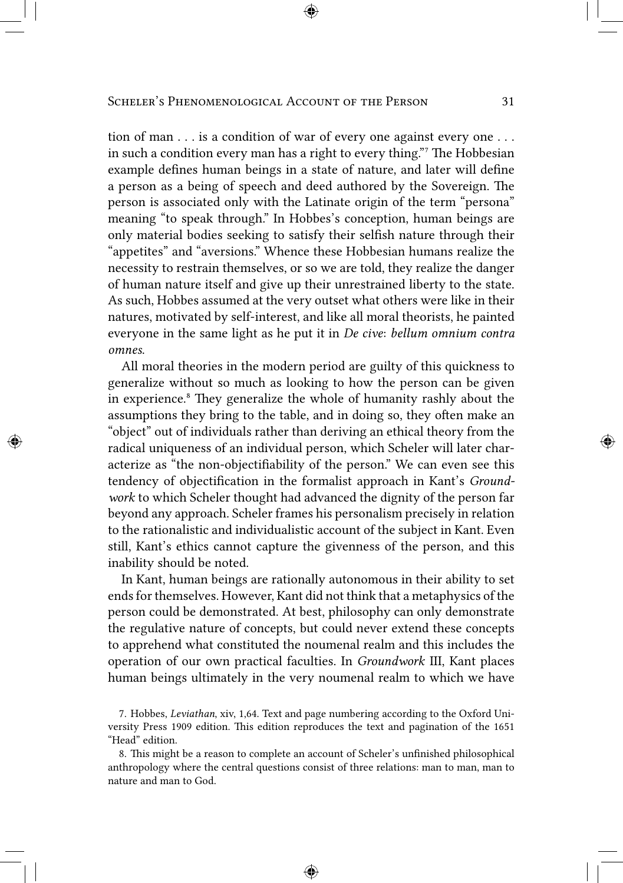tion of man . . . is a condition of war of every one against every one . . . in such a condition every man has a right to every thing." The Hobbesian example defines human beings in a state of nature, and later will define a person as a being of speech and deed authored by the Sovereign. The person is associated only with the Latinate origin of the term "persona" meaning "to speak through." In Hobbes's conception, human beings are only material bodies seeking to satisfy their selfish nature through their "appetites" and "aversions." Whence these Hobbesian humans realize the necessity to restrain themselves, or so we are told, they realize the danger of human nature itself and give up their unrestrained liberty to the state. As such, Hobbes assumed at the very outset what others were like in their natures, motivated by self-interest, and like all moral theorists, he painted everyone in the same light as he put it in *De cive*: *bellum omnium contra omnes*.

All moral theories in the modern period are guilty of this quickness to generalize without so much as looking to how the person can be given in experience.<sup>8</sup> They generalize the whole of humanity rashly about the assumptions they bring to the table, and in doing so, they often make an "object" out of individuals rather than deriving an ethical theory from the radical uniqueness of an individual person, which Scheler will later characterize as "the non-objectifiability of the person." We can even see this tendency of objectification in the formalist approach in Kant's *Groundwork* to which Scheler thought had advanced the dignity of the person far beyond any approach. Scheler frames his personalism precisely in relation to the rationalistic and individualistic account of the subject in Kant. Even still, Kant's ethics cannot capture the givenness of the person, and this inability should be noted.

In Kant, human beings are rationally autonomous in their ability to set ends for themselves. However, Kant did not think that a metaphysics of the person could be demonstrated. At best, philosophy can only demonstrate the regulative nature of concepts, but could never extend these concepts to apprehend what constituted the noumenal realm and this includes the operation of our own practical faculties. In *Groundwork* III, Kant places human beings ultimately in the very noumenal realm to which we have

<sup>7.</sup> Hobbes, *Leviathan*, xiv, 1,64. Text and page numbering according to the Oxford University Press 1909 edition. This edition reproduces the text and pagination of the 1651 "Head" edition.

<sup>8.</sup> This might be a reason to complete an account of Scheler's unfinished philosophical anthropology where the central questions consist of three relations: man to man, man to nature and man to God.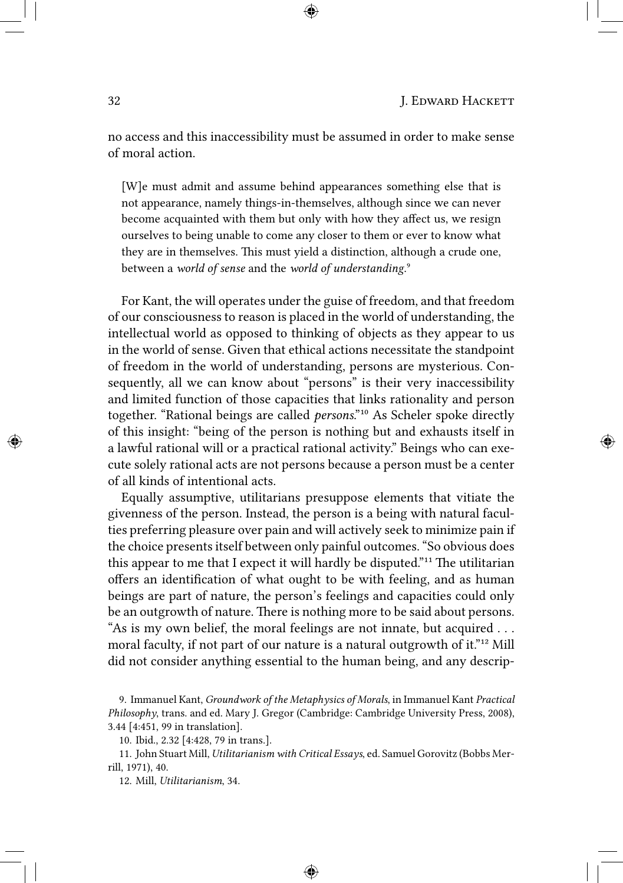no access and this inaccessibility must be assumed in order to make sense of moral action.

[W]e must admit and assume behind appearances something else that is not appearance, namely things-in-themselves, although since we can never become acquainted with them but only with how they affect us, we resign ourselves to being unable to come any closer to them or ever to know what they are in themselves. This must yield a distinction, although a crude one, between a *world of sense* and the *world of understanding*.⁹

For Kant, the will operates under the guise of freedom, and that freedom of our consciousness to reason is placed in the world of understanding, the intellectual world as opposed to thinking of objects as they appear to us in the world of sense. Given that ethical actions necessitate the standpoint of freedom in the world of understanding, persons are mysterious. Consequently, all we can know about "persons" is their very inaccessibility and limited function of those capacities that links rationality and person together. "Rational beings are called *persons*."<sup>10</sup> As Scheler spoke directly of this insight: "being of the person is nothing but and exhausts itself in a lawful rational will or a practical rational activity." Beings who can execute solely rational acts are not persons because a person must be a center of all kinds of intentional acts.

Equally assumptive, utilitarians presuppose elements that vitiate the givenness of the person. Instead, the person is a being with natural faculties preferring pleasure over pain and will actively seek to minimize pain if the choice presents itself between only painful outcomes. "So obvious does this appear to me that I expect it will hardly be disputed."<sup>11</sup> The utilitarian offers an identification of what ought to be with feeling, and as human beings are part of nature, the person's feelings and capacities could only be an outgrowth of nature. There is nothing more to be said about persons. "As is my own belief, the moral feelings are not innate, but acquired . . . moral faculty, if not part of our nature is a natural outgrowth of it."<sup>12</sup> Mill did not consider anything essential to the human being, and any descrip-

<sup>9.</sup> Immanuel Kant, *Groundwork of the Metaphysics of Morals*, in Immanuel Kant *Practical Philosophy*, trans. and ed. Mary J. Gregor (Cambridge: Cambridge University Press, 2008), 3.44 [4:451, 99 in translation].

<sup>10.</sup> Ibid., 2.32 [4:428, 79 in trans.].

<sup>11.</sup> John Stuart Mill, *Utilitarianism with Critical Essays*, ed. Samuel Gorovitz (Bobbs Merrill, 1971), 40.

<sup>12.</sup> Mill, *Utilitarianism*, 34.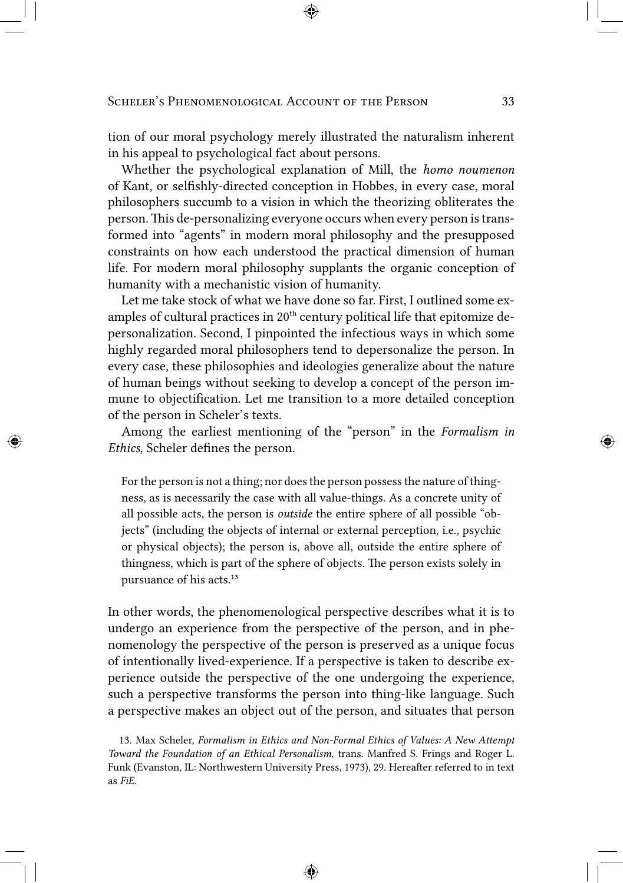tion of our moral psychology merely illustrated the naturalism inherent in his appeal to psychological fact about persons.

Whether the psychological explanation of Mill, the *homo noumenon* of Kant, or selfishly-directed conception in Hobbes, in every case, moral philosophers succumb to a vision in which the theorizing obliterates the person. This de-personalizing everyone occurs when every person is transformed into "agents" in modern moral philosophy and the presupposed constraints on how each understood the practical dimension of human life. For modern moral philosophy supplants the organic conception of humanity with a mechanistic vision of humanity.

Let me take stock of what we have done so far. First, I outlined some examples of cultural practices in 20<sup>th</sup> century political life that epitomize depersonalization. Second, I pinpointed the infectious ways in which some highly regarded moral philosophers tend to depersonalize the person. In every case, these philosophies and ideologies generalize about the nature of human beings without seeking to develop a concept of the person immune to objectification. Let me transition to a more detailed conception of the person in Scheler's texts.

Among the earliest mentioning of the "person" in the *Formalism in Ethics*, Scheler defines the person.

For the person is not a thing; nor does the person possess the nature of thingness, as is necessarily the case with all value-things. As a concrete unity of all possible acts, the person is *outside* the entire sphere of all possible "objects" (including the objects of internal or external perception, i.e., psychic or physical objects); the person is, above all, outside the entire sphere of thingness, which is part of the sphere of objects. The person exists solely in pursuance of his acts.<sup>13</sup>

In other words, the phenomenological perspective describes what it is to undergo an experience from the perspective of the person, and in phenomenology the perspective of the person is preserved as a unique focus of intentionally lived-experience. If a perspective is taken to describe experience outside the perspective of the one undergoing the experience, such a perspective transforms the person into thing-like language. Such a perspective makes an object out of the person, and situates that person

13. Max Scheler, *Formalism in Ethics and Non-Formal Ethics of Values: A New Attempt Toward the Foundation of an Ethical Personalism*, trans. Manfred S. Frings and Roger L. Funk (Evanston, IL: Northwestern University Press, 1973), 29. Hereafter referred to in text as *FiE*.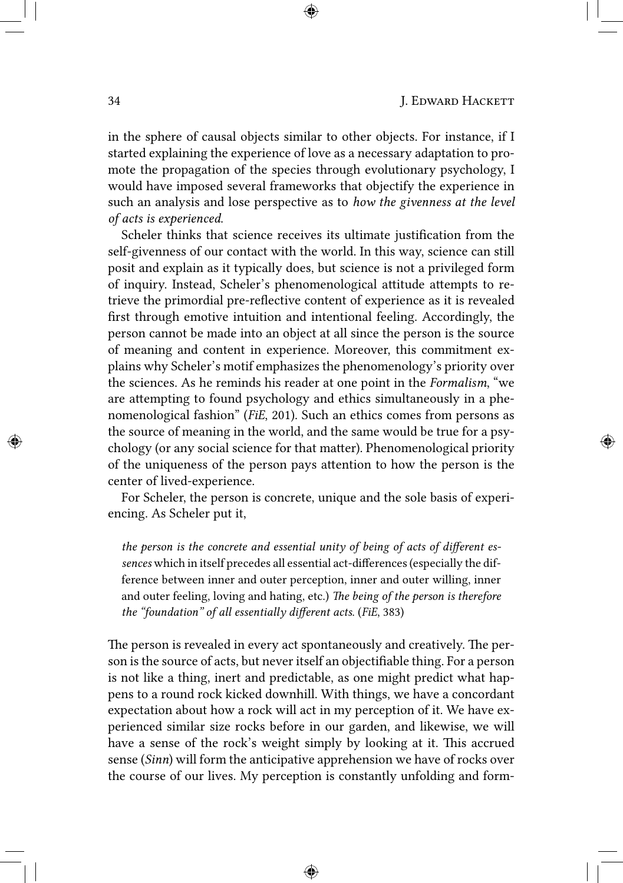in the sphere of causal objects similar to other objects. For instance, if I started explaining the experience of love as a necessary adaptation to promote the propagation of the species through evolutionary psychology, I would have imposed several frameworks that objectify the experience in such an analysis and lose perspective as to *how the givenness at the level of acts is experienced*.

Scheler thinks that science receives its ultimate justification from the self-givenness of our contact with the world. In this way, science can still posit and explain as it typically does, but science is not a privileged form of inquiry. Instead, Scheler's phenomenological attitude attempts to retrieve the primordial pre-reflective content of experience as it is revealed first through emotive intuition and intentional feeling. Accordingly, the person cannot be made into an object at all since the person is the source of meaning and content in experience. Moreover, this commitment explains why Scheler's motif emphasizes the phenomenology's priority over the sciences. As he reminds his reader at one point in the *Formalism*, "we are attempting to found psychology and ethics simultaneously in a phenomenological fashion" (*FiE*, 201). Such an ethics comes from persons as the source of meaning in the world, and the same would be true for a psychology (or any social science for that matter). Phenomenological priority of the uniqueness of the person pays attention to how the person is the center of lived-experience.

For Scheler, the person is concrete, unique and the sole basis of experiencing. As Scheler put it,

*the person is the concrete and essential unity of being of acts of different essences* which in itself precedes all essential act-differences (especially the difference between inner and outer perception, inner and outer willing, inner and outer feeling, loving and hating, etc.) *The being of the person is therefore the "foundation" of all essentially different acts*. (*FiE*, 383)

The person is revealed in every act spontaneously and creatively. The person is the source of acts, but never itself an objectifiable thing. For a person is not like a thing, inert and predictable, as one might predict what happens to a round rock kicked downhill. With things, we have a concordant expectation about how a rock will act in my perception of it. We have experienced similar size rocks before in our garden, and likewise, we will have a sense of the rock's weight simply by looking at it. This accrued sense (*Sinn*) will form the anticipative apprehension we have of rocks over the course of our lives. My perception is constantly unfolding and form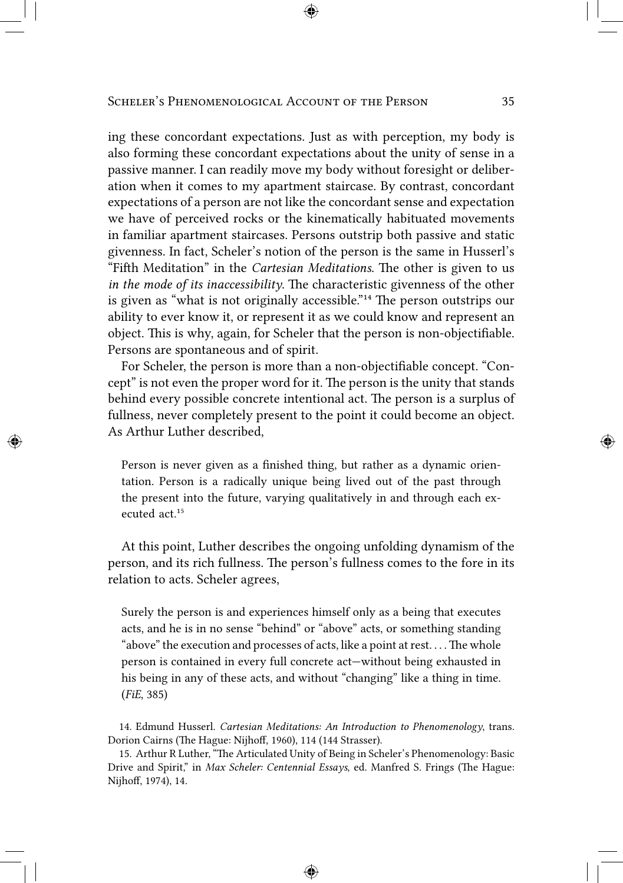ing these concordant expectations. Just as with perception, my body is also forming these concordant expectations about the unity of sense in a passive manner. I can readily move my body without foresight or deliberation when it comes to my apartment staircase. By contrast, concordant expectations of a person are not like the concordant sense and expectation we have of perceived rocks or the kinematically habituated movements in familiar apartment staircases. Persons outstrip both passive and static givenness. In fact, Scheler's notion of the person is the same in Husserl's "Fifth Meditation" in the *Cartesian Meditations*. The other is given to us *in the mode of its inaccessibility*. The characteristic givenness of the other is given as "what is not originally accessible." $14$  The person outstrips our ability to ever know it, or represent it as we could know and represent an object. This is why, again, for Scheler that the person is non-objectifiable. Persons are spontaneous and of spirit.

For Scheler, the person is more than a non-objectifiable concept. "Concept" is not even the proper word for it. The person is the unity that stands behind every possible concrete intentional act. The person is a surplus of fullness, never completely present to the point it could become an object. As Arthur Luther described,

Person is never given as a finished thing, but rather as a dynamic orientation. Person is a radically unique being lived out of the past through the present into the future, varying qualitatively in and through each executed act<sup>15</sup>

At this point, Luther describes the ongoing unfolding dynamism of the person, and its rich fullness. The person's fullness comes to the fore in its relation to acts. Scheler agrees,

Surely the person is and experiences himself only as a being that executes acts, and he is in no sense "behind" or "above" acts, or something standing "above" the execution and processes of acts, like a point at rest. . . . The whole person is contained in every full concrete act—without being exhausted in his being in any of these acts, and without "changing" like a thing in time. (*FiE*, 385)

14. Edmund Husserl. *Cartesian Meditations: An Introduction to Phenomenology*, trans. Dorion Cairns (The Hague: Nijhoff, 1960), 114 (144 Strasser).

15. Arthur R Luther, "The Articulated Unity of Being in Scheler's Phenomenology: Basic Drive and Spirit," in *Max Scheler: Centennial Essays*, ed. Manfred S. Frings (The Hague: Nijhoff, 1974), 14.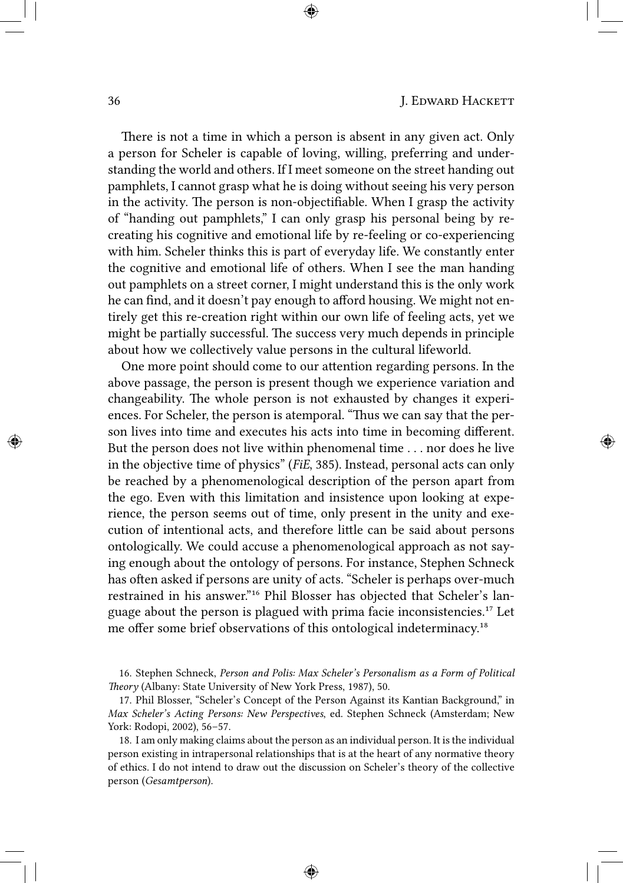There is not a time in which a person is absent in any given act. Only a person for Scheler is capable of loving, willing, preferring and understanding the world and others. If I meet someone on the street handing out pamphlets, I cannot grasp what he is doing without seeing his very person in the activity. The person is non-objectifiable. When I grasp the activity of "handing out pamphlets," I can only grasp his personal being by recreating his cognitive and emotional life by re-feeling or co-experiencing with him. Scheler thinks this is part of everyday life. We constantly enter the cognitive and emotional life of others. When I see the man handing out pamphlets on a street corner, I might understand this is the only work he can find, and it doesn't pay enough to afford housing. We might not entirely get this re-creation right within our own life of feeling acts, yet we might be partially successful. The success very much depends in principle about how we collectively value persons in the cultural lifeworld.

One more point should come to our attention regarding persons. In the above passage, the person is present though we experience variation and changeability. The whole person is not exhausted by changes it experiences. For Scheler, the person is atemporal. "Thus we can say that the person lives into time and executes his acts into time in becoming different. But the person does not live within phenomenal time . . . nor does he live in the objective time of physics" (*FiE*, 385). Instead, personal acts can only be reached by a phenomenological description of the person apart from the ego. Even with this limitation and insistence upon looking at experience, the person seems out of time, only present in the unity and execution of intentional acts, and therefore little can be said about persons ontologically. We could accuse a phenomenological approach as not saying enough about the ontology of persons. For instance, Stephen Schneck has often asked if persons are unity of acts. "Scheler is perhaps over-much restrained in his answer."<sup>16</sup> Phil Blosser has objected that Scheler's language about the person is plagued with prima facie inconsistencies.<sup>17</sup> Let me offer some brief observations of this ontological indeterminacy.<sup>18</sup>

16. Stephen Schneck, *Person and Polis: Max Scheler's Personalism as a Form of Political Theory* (Albany: State University of New York Press, 1987), 50.

17. Phil Blosser, "Scheler's Concept of the Person Against its Kantian Background," in *Max Scheler's Acting Persons: New Perspectives*, ed. Stephen Schneck (Amsterdam; New York: Rodopi, 2002), 56–57.

18. I am only making claims about the person as an individual person. It is the individual person existing in intrapersonal relationships that is at the heart of any normative theory of ethics. I do not intend to draw out the discussion on Scheler's theory of the collective person (*Gesamtperson*).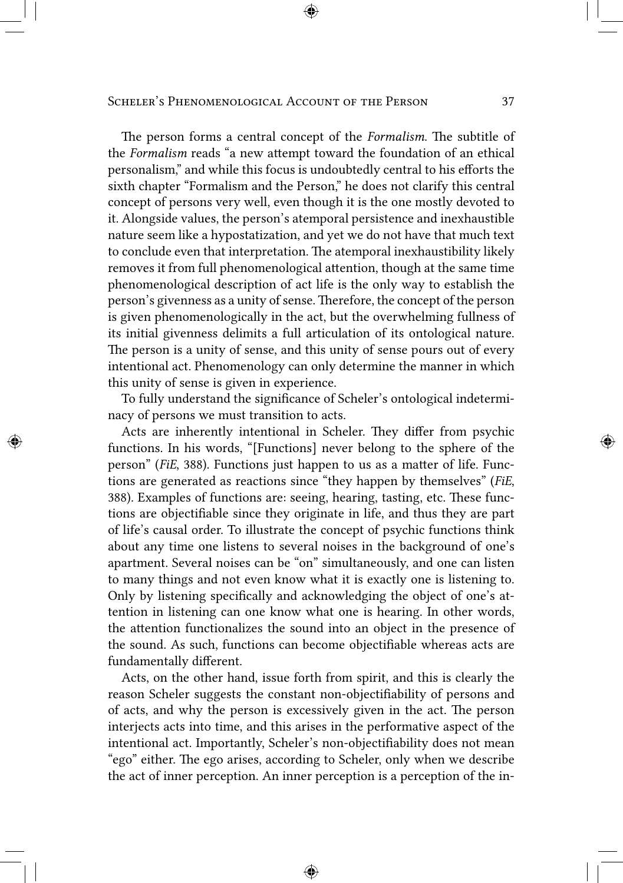The person forms a central concept of the *Formalism*. The subtitle of the *Formalism* reads "a new attempt toward the foundation of an ethical personalism," and while this focus is undoubtedly central to his efforts the sixth chapter "Formalism and the Person," he does not clarify this central concept of persons very well, even though it is the one mostly devoted to it. Alongside values, the person's atemporal persistence and inexhaustible nature seem like a hypostatization, and yet we do not have that much text to conclude even that interpretation. The atemporal inexhaustibility likely removes it from full phenomenological attention, though at the same time phenomenological description of act life is the only way to establish the person's givenness as a unity of sense. Therefore, the concept of the person is given phenomenologically in the act, but the overwhelming fullness of its initial givenness delimits a full articulation of its ontological nature. The person is a unity of sense, and this unity of sense pours out of every intentional act. Phenomenology can only determine the manner in which this unity of sense is given in experience.

To fully understand the significance of Scheler's ontological indeterminacy of persons we must transition to acts.

Acts are inherently intentional in Scheler. They differ from psychic functions. In his words, "[Functions] never belong to the sphere of the person" (*FiE*, 388). Functions just happen to us as a matter of life. Functions are generated as reactions since "they happen by themselves" (*FiE*, 388). Examples of functions are: seeing, hearing, tasting, etc. These functions are objectifiable since they originate in life, and thus they are part of life's causal order. To illustrate the concept of psychic functions think about any time one listens to several noises in the background of one's apartment. Several noises can be "on" simultaneously, and one can listen to many things and not even know what it is exactly one is listening to. Only by listening specifically and acknowledging the object of one's attention in listening can one know what one is hearing. In other words, the attention functionalizes the sound into an object in the presence of the sound. As such, functions can become objectifiable whereas acts are fundamentally different.

Acts, on the other hand, issue forth from spirit, and this is clearly the reason Scheler suggests the constant non-objectifiability of persons and of acts, and why the person is excessively given in the act. The person interjects acts into time, and this arises in the performative aspect of the intentional act. Importantly, Scheler's non-objectifiability does not mean "ego" either. The ego arises, according to Scheler, only when we describe the act of inner perception. An inner perception is a perception of the in-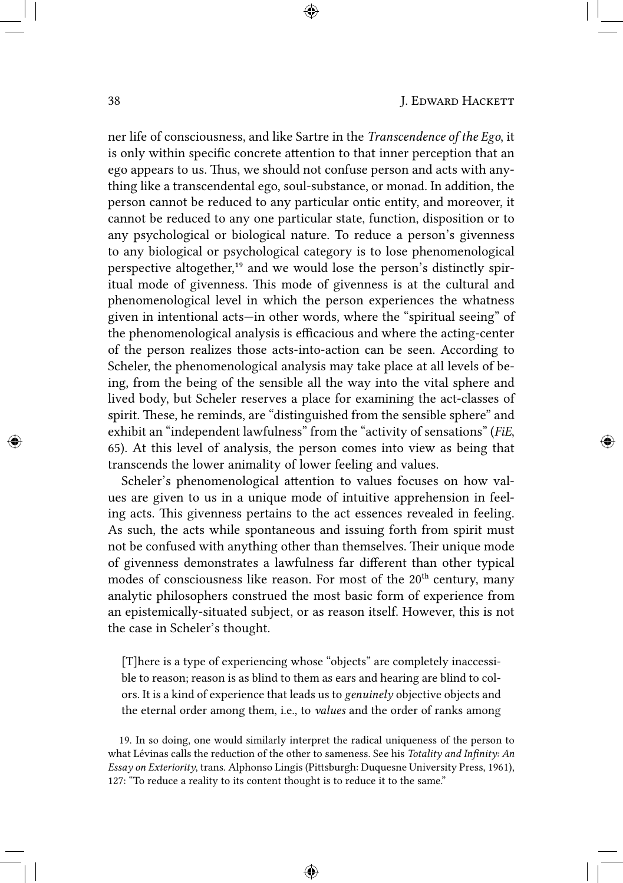ner life of consciousness, and like Sartre in the *Transcendence of the Ego*, it is only within specific concrete attention to that inner perception that an ego appears to us. Thus, we should not confuse person and acts with anything like a transcendental ego, soul-substance, or monad. In addition, the person cannot be reduced to any particular ontic entity, and moreover, it cannot be reduced to any one particular state, function, disposition or to any psychological or biological nature. To reduce a person's givenness to any biological or psychological category is to lose phenomenological perspective altogether,<sup>19</sup> and we would lose the person's distinctly spiritual mode of givenness. This mode of givenness is at the cultural and phenomenological level in which the person experiences the whatness given in intentional acts—in other words, where the "spiritual seeing" of the phenomenological analysis is efficacious and where the acting-center of the person realizes those acts-into-action can be seen. According to Scheler, the phenomenological analysis may take place at all levels of being, from the being of the sensible all the way into the vital sphere and lived body, but Scheler reserves a place for examining the act-classes of spirit. These, he reminds, are "distinguished from the sensible sphere" and exhibit an "independent lawfulness" from the "activity of sensations" (*FiE*, 65). At this level of analysis, the person comes into view as being that transcends the lower animality of lower feeling and values.

Scheler's phenomenological attention to values focuses on how values are given to us in a unique mode of intuitive apprehension in feeling acts. This givenness pertains to the act essences revealed in feeling. As such, the acts while spontaneous and issuing forth from spirit must not be confused with anything other than themselves. Their unique mode of givenness demonstrates a lawfulness far different than other typical modes of consciousness like reason. For most of the 20<sup>th</sup> century, many analytic philosophers construed the most basic form of experience from an epistemically-situated subject, or as reason itself. However, this is not the case in Scheler's thought.

[T]here is a type of experiencing whose "objects" are completely inaccessible to reason; reason is as blind to them as ears and hearing are blind to colors. It is a kind of experience that leads us to *genuinely* objective objects and the eternal order among them, i.e., to *values* and the order of ranks among

19. In so doing, one would similarly interpret the radical uniqueness of the person to what Lévinas calls the reduction of the other to sameness. See his *Totality and Infinity: An Essay on Exteriority*, trans. Alphonso Lingis (Pittsburgh: Duquesne University Press, 1961), 127: "To reduce a reality to its content thought is to reduce it to the same."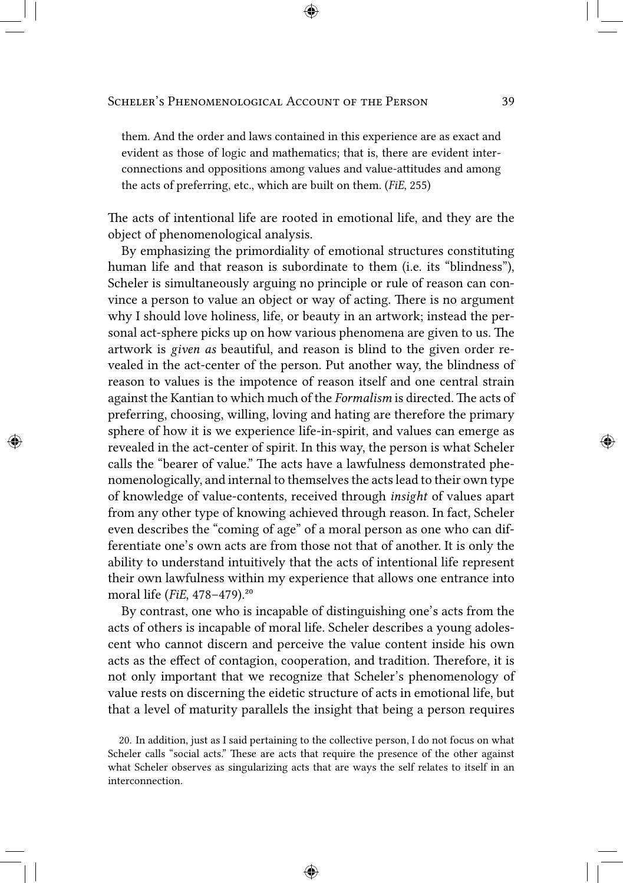them. And the order and laws contained in this experience are as exact and evident as those of logic and mathematics; that is, there are evident interconnections and oppositions among values and value-attitudes and among the acts of preferring, etc., which are built on them. (*FiE*, 255)

The acts of intentional life are rooted in emotional life, and they are the object of phenomenological analysis.

By emphasizing the primordiality of emotional structures constituting human life and that reason is subordinate to them (i.e. its "blindness"), Scheler is simultaneously arguing no principle or rule of reason can convince a person to value an object or way of acting. There is no argument why I should love holiness, life, or beauty in an artwork; instead the personal act-sphere picks up on how various phenomena are given to us. The artwork is *given as* beautiful, and reason is blind to the given order revealed in the act-center of the person. Put another way, the blindness of reason to values is the impotence of reason itself and one central strain against the Kantian to which much of the *Formalism* is directed. The acts of preferring, choosing, willing, loving and hating are therefore the primary sphere of how it is we experience life-in-spirit, and values can emerge as revealed in the act-center of spirit. In this way, the person is what Scheler calls the "bearer of value." The acts have a lawfulness demonstrated phenomenologically, and internal to themselves the acts lead to their own type of knowledge of value-contents, received through *insight* of values apart from any other type of knowing achieved through reason. In fact, Scheler even describes the "coming of age" of a moral person as one who can differentiate one's own acts are from those not that of another. It is only the ability to understand intuitively that the acts of intentional life represent their own lawfulness within my experience that allows one entrance into moral life (*FiE*, 478-479).<sup>20</sup>

By contrast, one who is incapable of distinguishing one's acts from the acts of others is incapable of moral life. Scheler describes a young adolescent who cannot discern and perceive the value content inside his own acts as the effect of contagion, cooperation, and tradition. Therefore, it is not only important that we recognize that Scheler's phenomenology of value rests on discerning the eidetic structure of acts in emotional life, but that a level of maturity parallels the insight that being a person requires

<sup>20.</sup> In addition, just as I said pertaining to the collective person, I do not focus on what Scheler calls "social acts." These are acts that require the presence of the other against what Scheler observes as singularizing acts that are ways the self relates to itself in an interconnection.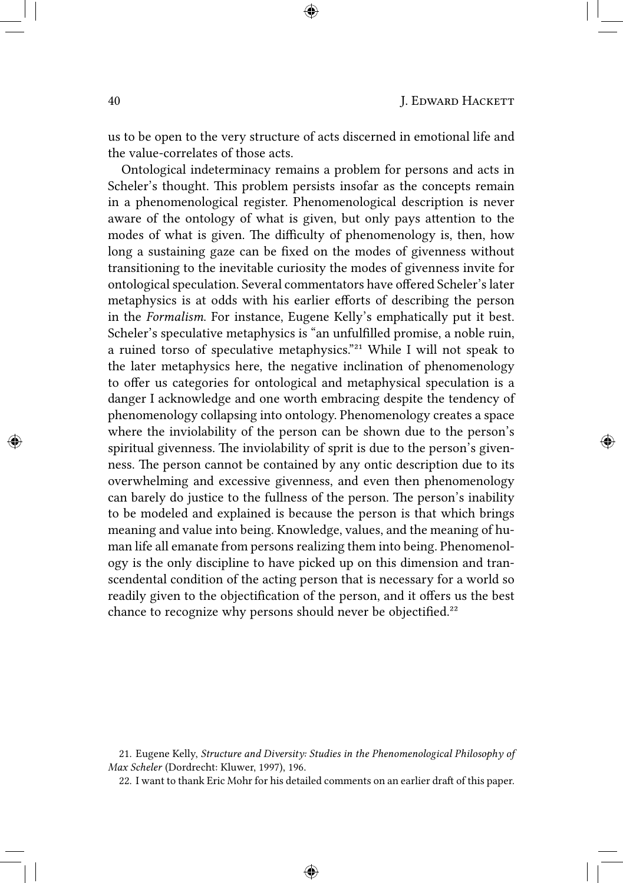us to be open to the very structure of acts discerned in emotional life and the value-correlates of those acts.

Ontological indeterminacy remains a problem for persons and acts in Scheler's thought. This problem persists insofar as the concepts remain in a phenomenological register. Phenomenological description is never aware of the ontology of what is given, but only pays attention to the modes of what is given. The difficulty of phenomenology is, then, how long a sustaining gaze can be fixed on the modes of givenness without transitioning to the inevitable curiosity the modes of givenness invite for ontological speculation. Several commentators have offered Scheler's later metaphysics is at odds with his earlier efforts of describing the person in the *Formalism*. For instance, Eugene Kelly's emphatically put it best. Scheler's speculative metaphysics is "an unfulfilled promise, a noble ruin, a ruined torso of speculative metaphysics."<sup>21</sup> While I will not speak to the later metaphysics here, the negative inclination of phenomenology to offer us categories for ontological and metaphysical speculation is a danger I acknowledge and one worth embracing despite the tendency of phenomenology collapsing into ontology. Phenomenology creates a space where the inviolability of the person can be shown due to the person's spiritual givenness. The inviolability of sprit is due to the person's givenness. The person cannot be contained by any ontic description due to its overwhelming and excessive givenness, and even then phenomenology can barely do justice to the fullness of the person. The person's inability to be modeled and explained is because the person is that which brings meaning and value into being. Knowledge, values, and the meaning of human life all emanate from persons realizing them into being. Phenomenology is the only discipline to have picked up on this dimension and transcendental condition of the acting person that is necessary for a world so readily given to the objectification of the person, and it offers us the best chance to recognize why persons should never be objectified.²²

<sup>21.</sup> Eugene Kelly, *Structure and Diversity: Studies in the Phenomenological Philosophy of Max Scheler* (Dordrecht: Kluwer, 1997), 196.

<sup>22.</sup> I want to thank Eric Mohr for his detailed comments on an earlier draft of this paper.